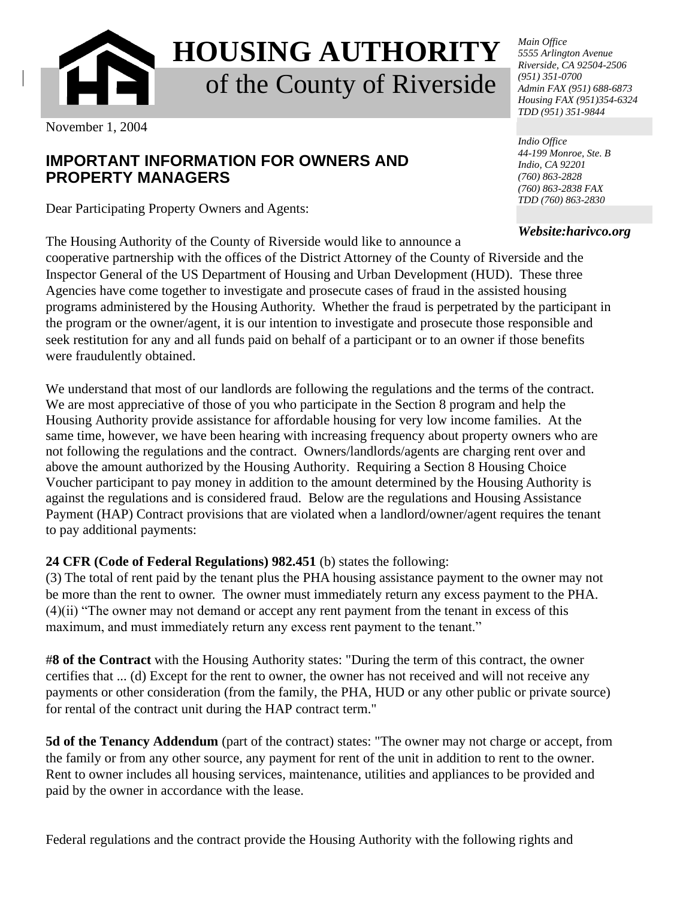

**HOUSING AUTHORITY** of the County of Riverside

November 1, 2004

## **IMPORTANT INFORMATION FOR OWNERS AND PROPERTY MANAGERS**

Dear Participating Property Owners and Agents:

The Housing Authority of the County of Riverside would like to announce a cooperative partnership with the offices of the District Attorney of the County of Riverside and the Inspector General of the US Department of Housing and Urban Development (HUD). These three Agencies have come together to investigate and prosecute cases of fraud in the assisted housing programs administered by the Housing Authority. Whether the fraud is perpetrated by the participant in the program or the owner/agent, it is our intention to investigate and prosecute those responsible and seek restitution for any and all funds paid on behalf of a participant or to an owner if those benefits were fraudulently obtained.

We understand that most of our landlords are following the regulations and the terms of the contract. We are most appreciative of those of you who participate in the Section 8 program and help the Housing Authority provide assistance for affordable housing for very low income families. At the same time, however, we have been hearing with increasing frequency about property owners who are not following the regulations and the contract. Owners/landlords/agents are charging rent over and above the amount authorized by the Housing Authority. Requiring a Section 8 Housing Choice Voucher participant to pay money in addition to the amount determined by the Housing Authority is against the regulations and is considered fraud. Below are the regulations and Housing Assistance Payment (HAP) Contract provisions that are violated when a landlord/owner/agent requires the tenant to pay additional payments:

## **24 CFR (Code of Federal Regulations) 982.451** (b) states the following:

(3) The total of rent paid by the tenant plus the PHA housing assistance payment to the owner may not be more than the rent to owner. The owner must immediately return any excess payment to the PHA. (4)(ii) "The owner may not demand or accept any rent payment from the tenant in excess of this maximum, and must immediately return any excess rent payment to the tenant."

#**8 of the Contract** with the Housing Authority states: "During the term of this contract, the owner certifies that ... (d) Except for the rent to owner, the owner has not received and will not receive any payments or other consideration (from the family, the PHA, HUD or any other public or private source) for rental of the contract unit during the HAP contract term."

**5d of the Tenancy Addendum** (part of the contract) states: "The owner may not charge or accept, from the family or from any other source, any payment for rent of the unit in addition to rent to the owner. Rent to owner includes all housing services, maintenance, utilities and appliances to be provided and paid by the owner in accordance with the lease.

Federal regulations and the contract provide the Housing Authority with the following rights and

*Main Office 5555 Arlington Avenue Riverside, CA 92504-2506 (951) 351-0700 Admin FAX (951) 688-6873 Housing FAX (951)354-6324 TDD (951) 351-9844*

*Indio Office 44-199 Monroe, Ste. B Indio, CA 92201 (760) 863-2828 (760) 863-2838 FAX TDD (760) 863-2830*

*Website:harivco.org*